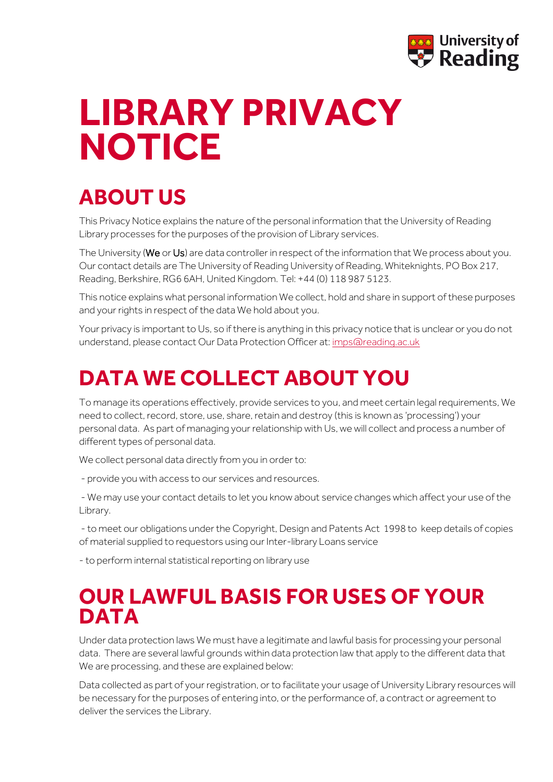

## **LIBRARY PRIVACY NOTICE Unit name goes here**

# **ABOUT US**

This Privacy Notice explains the nature of the personal information that the University of Reading Library processes for the purposes of the provision of Library services.

The University (We or Us) are data controller in respect of the information that We process about you. Our contact details are The University of Reading University of Reading, Whiteknights, PO Box 217, Reading, Berkshire, RG6 6AH, United Kingdom. Tel: +44 (0) 118 987 5123.

This notice explains what personal information We collect, hold and share in support of these purposes and your rights in respect of the data We hold about you.

Your privacy is important to Us, so if there is anything in this privacy notice that is unclear or you do not understand, please contact Our Data Protection Officer at[: imps@reading.ac.uk](mailto:imps@reading.ac.uk)

### **DATA WE COLLECT ABOUT YOU**

To manage its operations effectively, provide services to you, and meet certain legal requirements, We need to collect, record, store, use, share, retain and destroy (this is known as 'processing') your personal data. As part of managing your relationship with Us, we will collect and process a number of different types of personal data.

We collect personal data directly from you in order to:

- provide you with access to our services and resources.

- We may use your contact details to let you know about service changes which affect your use of the Library.

- to meet our obligations under the Copyright, Design and Patents Act 1998 to keep details of copies of material supplied to requestors using our Inter-library Loans service

- to perform internal statistical reporting on library use

#### **OUR LAWFUL BASIS FOR USES OF YOUR DATA**

Under data protection laws We must have a legitimate and lawful basis for processing your personal data. There are several lawful grounds within data protection law that apply to the different data that We are processing, and these are explained below:

Data collected as part of your registration, or to facilitate your usage of University Library resources will be necessary for the purposes of entering into, or the performance of, a contract or agreement to deliver the services the Library.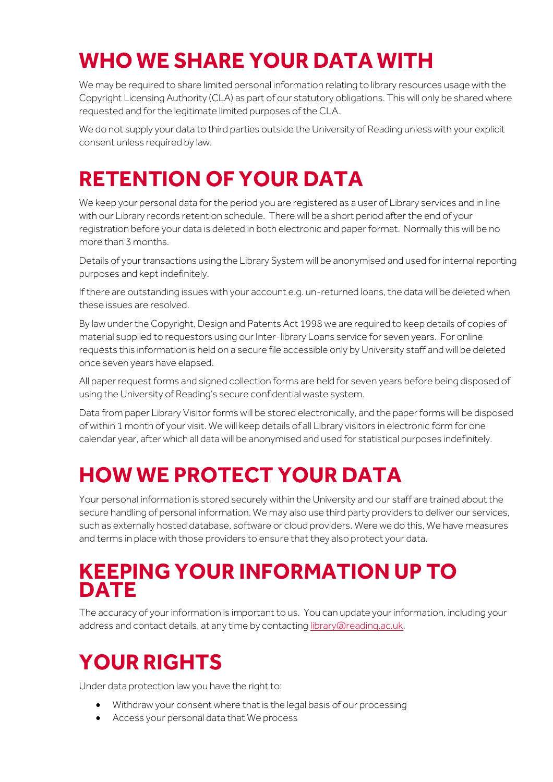## **WHO WE SHARE YOUR DATA WITH**

We may be required to share limited personal information relating to library resources usage with the Copyright Licensing Authority (CLA) as part of our statutory obligations. This will only be shared where requested and for the legitimate limited purposes of the CLA.

We do not supply your data to third parties outside the University of Reading unless with your explicit consent unless required by law.

## **RETENTION OF YOUR DATA**

We keep your personal data for the period you are registered as a user of Library services and in line with our Library records retention schedule. There will be a short period after the end of your registration before your data is deleted in both electronic and paper format. Normally this will be no more than 3 months.

Details of your transactions using the Library System will be anonymised and used for internal reporting purposes and kept indefinitely.

If there are outstanding issues with your account e.g. un-returned loans, the data will be deleted when these issues are resolved.

By law under the Copyright, Design and Patents Act 1998 we are required to keep details of copies of material supplied to requestors using our Inter-library Loans service for seven years. For online requests this information is held on a secure file accessible only by University staff and will be deleted once seven years have elapsed.

All paper request forms and signed collection forms are held for seven years before being disposed of using the University of Reading's secure confidential waste system.

Data from paper Library Visitor forms will be stored electronically, and the paper forms will be disposed of within 1 month of your visit. We will keep details of all Library visitors in electronic form for one calendar year, after which all data will be anonymised and used for statistical purposes indefinitely.

## **HOW WE PROTECT YOUR DATA**

Your personal information is stored securely within the University and our staff are trained about the secure handling of personal information. We may also use third party providers to deliver our services, such as externally hosted database, software or cloud providers. Were we do this, We have measures and terms in place with those providers to ensure that they also protect your data.

#### **KEEPING YOUR INFORMATION UP TO DATE**

The accuracy of your information is important to us. You can update your information, including your address and contact details, at any time by contacting [library@reading.ac.uk.](mailto:library@reading.ac.uk)

## **YOUR RIGHTS**

Under data protection law you have the right to:

- Withdraw your consent where that is the legal basis of our processing
- Access your personal data that We process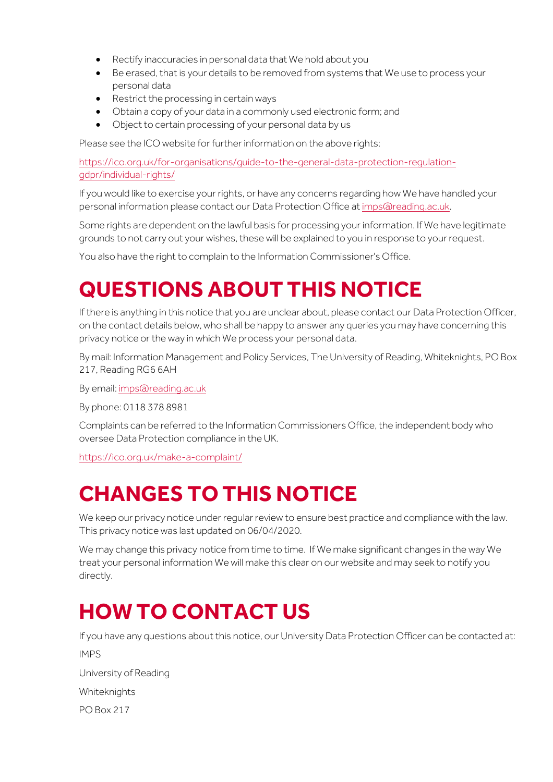- Rectify inaccuracies in personal data that We hold about you
- Be erased, that is your details to be removed from systems that We use to process your personal data
- Restrict the processing in certain ways
- Obtain a copy of your data in a commonly used electronic form; and
- Object to certain processing of your personal data by us

Please see the ICO website for further information on the above rights:

[https://ico.org.uk/for-organisations/guide-to-the-general-data-protection-regulation](https://ico.org.uk/for-organisations/guide-to-the-general-data-protection-regulation-gdpr/individual-rights/)[gdpr/individual-rights/](https://ico.org.uk/for-organisations/guide-to-the-general-data-protection-regulation-gdpr/individual-rights/)

If you would like to exercise your rights, or have any concerns regarding how We have handled your personal information please contact our Data Protection Office a[t imps@reading.ac.uk.](mailto:imps@reading.ac.uk)

Some rights are dependent on the lawful basis for processing your information. If We have legitimate grounds to not carry out your wishes, these will be explained to you in response to your request.

You also have the right to complain to the Information Commissioner's Office.

### **QUESTIONS ABOUT THIS NOTICE**

If there is anything in this notice that you are unclear about, please contact our Data Protection Officer, on the contact details below, who shall be happy to answer any queries you may have concerning this privacy notice or the way in which We process your personal data.

By mail: Information Management and Policy Services, The University of Reading, Whiteknights, PO Box 217, Reading RG6 6AH

By email[: imps@reading.ac.uk](mailto:imps@reading.ac.uk)

By phone: 0118 378 8981

Complaints can be referred to the Information Commissioners Office, the independent body who oversee Data Protection compliance in the UK.

https://ico.org.uk/make-a-complaint/

### **CHANGES TO THIS NOTICE**

We keep our privacy notice under reqular review to ensure best practice and compliance with the law. This privacy notice was last updated on 06/04/2020.

We may change this privacy notice from time to time. If We make significant changes in the way We treat your personal information We will make this clear on our website and may seek to notify you directly.

### **HOW TO CONTACT US**

If you have any questions about this notice, our University Data Protection Officer can be contacted at:

IMPS

University of Reading

Whiteknights

PO Box 217